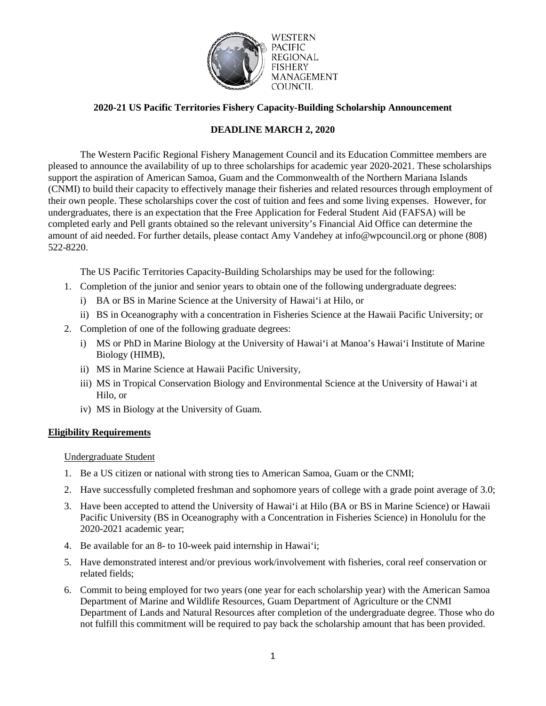

# **2020-21 US Pacific Territories Fishery Capacity-Building Scholarship Announcement**

# **DEADLINE MARCH 2, 2020**

The Western Pacific Regional Fishery Management Council and its Education Committee members are pleased to announce the availability of up to three scholarships for academic year 2020-2021. These scholarships support the aspiration of American Samoa, Guam and the Commonwealth of the Northern Mariana Islands (CNMI) to build their capacity to effectively manage their fisheries and related resources through employment of their own people. These scholarships cover the cost of tuition and fees and some living expenses. However, for undergraduates, there is an expectation that the Free Application for Federal Student Aid (FAFSA) will be completed early and Pell grants obtained so the relevant university's Financial Aid Office can determine the amount of aid needed. For further details, please contact Amy Vandehey at info@wpcouncil.org or phone (808) 522-8220.

The US Pacific Territories Capacity-Building Scholarships may be used for the following:

- 1. Completion of the junior and senior years to obtain one of the following undergraduate degrees:
	- i) BA or BS in Marine Science at the University of Hawai'i at Hilo, or
	- ii) BS in Oceanography with a concentration in Fisheries Science at the Hawaii Pacific University; or
- 2. Completion of one of the following graduate degrees:
	- i) MS or PhD in Marine Biology at the University of Hawai'i at Manoa's Hawai'i Institute of Marine Biology (HIMB),
	- ii) MS in Marine Science at Hawaii Pacific University,
	- iii) MS in Tropical Conservation Biology and Environmental Science at the University of Hawai'i at Hilo, or
	- iv) MS in Biology at the University of Guam.

## **Eligibility Requirements**

## Undergraduate Student

- 1. Be a US citizen or national with strong ties to American Samoa, Guam or the CNMI;
- 2. Have successfully completed freshman and sophomore years of college with a grade point average of 3.0;
- 3. Have been accepted to attend the University of Hawai'i at Hilo (BA or BS in Marine Science) or Hawaii Pacific University (BS in Oceanography with a Concentration in Fisheries Science) in Honolulu for the 2020-2021 academic year;
- 4. Be available for an 8- to 10-week paid internship in Hawai'i;
- 5. Have demonstrated interest and/or previous work/involvement with fisheries, coral reef conservation or related fields;
- 6. Commit to being employed for two years (one year for each scholarship year) with the American Samoa Department of Marine and Wildlife Resources, Guam Department of Agriculture or the CNMI Department of Lands and Natural Resources after completion of the undergraduate degree. Those who do not fulfill this commitment will be required to pay back the scholarship amount that has been provided.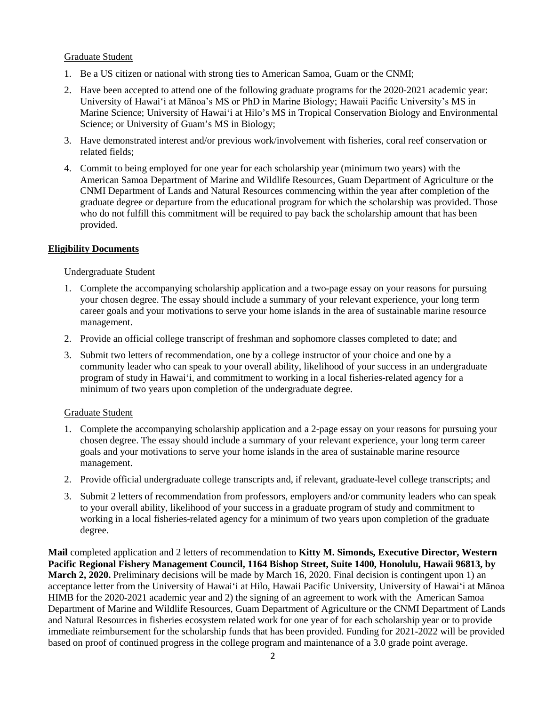#### Graduate Student

- 1. Be a US citizen or national with strong ties to American Samoa, Guam or the CNMI;
- 2. Have been accepted to attend one of the following graduate programs for the 2020-2021 academic year: University of Hawai'i at Mānoa's MS or PhD in Marine Biology; Hawaii Pacific University's MS in Marine Science; University of Hawai'i at Hilo's MS in Tropical Conservation Biology and Environmental Science; or University of Guam's MS in Biology;
- 3. Have demonstrated interest and/or previous work/involvement with fisheries, coral reef conservation or related fields;
- 4. Commit to being employed for one year for each scholarship year (minimum two years) with the American Samoa Department of Marine and Wildlife Resources, Guam Department of Agriculture or the CNMI Department of Lands and Natural Resources commencing within the year after completion of the graduate degree or departure from the educational program for which the scholarship was provided. Those who do not fulfill this commitment will be required to pay back the scholarship amount that has been provided.

#### **Eligibility Documents**

#### Undergraduate Student

- 1. Complete the accompanying scholarship application and a two-page essay on your reasons for pursuing your chosen degree. The essay should include a summary of your relevant experience, your long term career goals and your motivations to serve your home islands in the area of sustainable marine resource management.
- 2. Provide an official college transcript of freshman and sophomore classes completed to date; and
- 3. Submit two letters of recommendation, one by a college instructor of your choice and one by a community leader who can speak to your overall ability, likelihood of your success in an undergraduate program of study in Hawai'i, and commitment to working in a local fisheries-related agency for a minimum of two years upon completion of the undergraduate degree.

#### Graduate Student

- 1. Complete the accompanying scholarship application and a 2-page essay on your reasons for pursuing your chosen degree. The essay should include a summary of your relevant experience, your long term career goals and your motivations to serve your home islands in the area of sustainable marine resource management.
- 2. Provide official undergraduate college transcripts and, if relevant, graduate-level college transcripts; and
- 3. Submit 2 letters of recommendation from professors, employers and/or community leaders who can speak to your overall ability, likelihood of your success in a graduate program of study and commitment to working in a local fisheries-related agency for a minimum of two years upon completion of the graduate degree.

**Mail** completed application and 2 letters of recommendation to **Kitty M. Simonds, Executive Director, Western Pacific Regional Fishery Management Council, 1164 Bishop Street, Suite 1400, Honolulu, Hawaii 96813, by March 2, 2020.** Preliminary decisions will be made by March 16, 2020. Final decision is contingent upon 1) an acceptance letter from the University of Hawai'i at Hilo, Hawaii Pacific University, University of Hawai'i at Mānoa HIMB for the 2020-2021 academic year and 2) the signing of an agreement to work with the American Samoa Department of Marine and Wildlife Resources, Guam Department of Agriculture or the CNMI Department of Lands and Natural Resources in fisheries ecosystem related work for one year of for each scholarship year or to provide immediate reimbursement for the scholarship funds that has been provided. Funding for 2021-2022 will be provided based on proof of continued progress in the college program and maintenance of a 3.0 grade point average.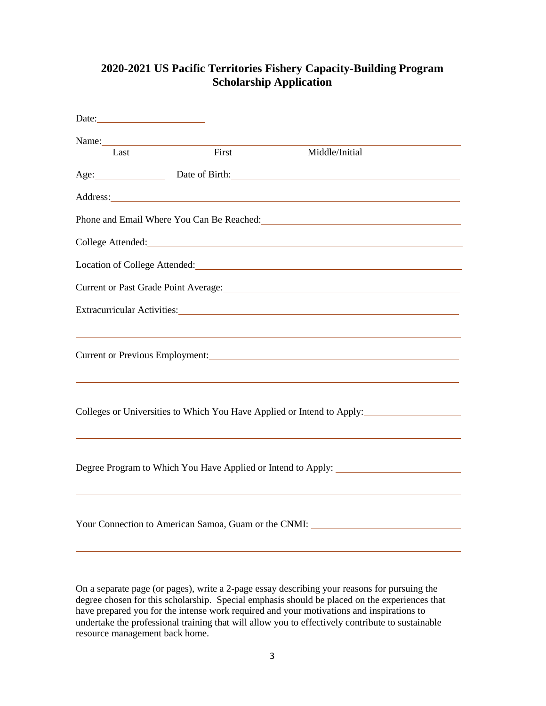# **2020-2021 US Pacific Territories Fishery Capacity-Building Program Scholarship Application**

| Last | First                                         | Middle/Initial                                                                                                                                                                                                                 |  |
|------|-----------------------------------------------|--------------------------------------------------------------------------------------------------------------------------------------------------------------------------------------------------------------------------------|--|
|      |                                               | Age: Date of Birth: Date of Birth:                                                                                                                                                                                             |  |
|      |                                               | Address: Andreas Address: Address: Address: Address: Address: Address: Address: Address: Address: Address: Address: Address: Address: Address: Address: Address: Address: Address: Address: Address: Address: Address: Address |  |
|      |                                               | Phone and Email Where You Can Be Reached:<br><u> Letting and Email Where You Can Be Reached:</u>                                                                                                                               |  |
|      | College Attended:<br><u>College Attended:</u> |                                                                                                                                                                                                                                |  |
|      |                                               | Location of College Attended:<br><u>Location of College Attended:</u>                                                                                                                                                          |  |
|      |                                               | Current or Past Grade Point Average: Manual Article of Past Grade Point Average:                                                                                                                                               |  |
|      |                                               | Extracurricular Activities: Manual Activities: Manual Activities: Manual Activities: Manual Activities: Manual Activities: Manual Activities: Manual Activities: Manual Activities: Manual Activities: Manual Activities: Manu |  |
|      |                                               | <u> 1989 - Andrea Santa Andrea Santa Andrea Santa Andrea Santa Andrea Santa Andrea Santa Andrea Santa Andrea San</u><br>Current or Previous Employment:                                                                        |  |
|      |                                               | Colleges or Universities to Which You Have Applied or Intend to Apply:                                                                                                                                                         |  |
|      |                                               | Degree Program to Which You Have Applied or Intend to Apply: ____________________                                                                                                                                              |  |
|      |                                               | Your Connection to American Samoa, Guam or the CNMI:                                                                                                                                                                           |  |
|      |                                               |                                                                                                                                                                                                                                |  |

On a separate page (or pages), write a 2-page essay describing your reasons for pursuing the degree chosen for this scholarship. Special emphasis should be placed on the experiences that have prepared you for the intense work required and your motivations and inspirations to undertake the professional training that will allow you to effectively contribute to sustainable resource management back home.